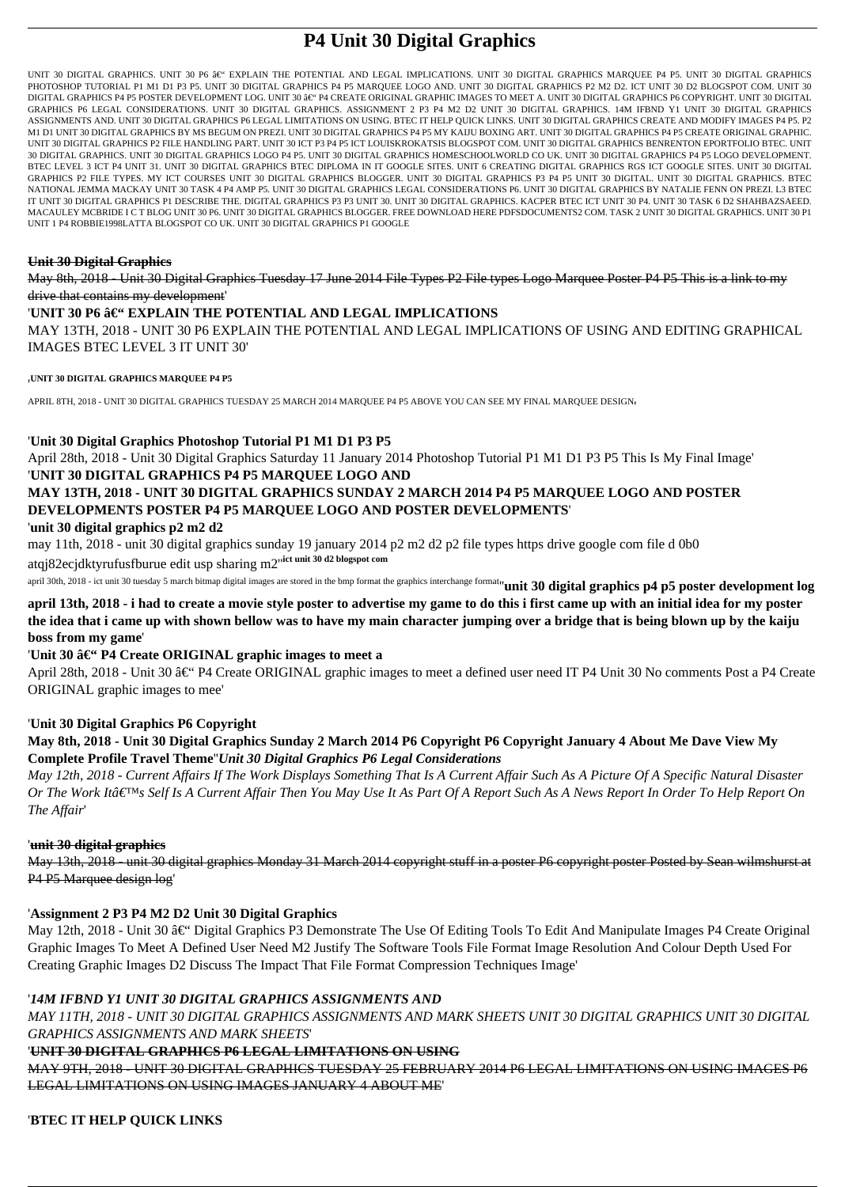# **P4 Unit 30 Digital Graphics**

UNIT 30 DIGITAL GRAPHICS. UNIT 30 P6 â€" EXPLAIN THE POTENTIAL AND LEGAL IMPLICATIONS. UNIT 30 DIGITAL GRAPHICS MARQUEE P4 P5. UNIT 30 DIGITAL GRAPHICS PHOTOSHOP TUTORIAL P1 M1 D1 P3 P5. UNIT 30 DIGITAL GRAPHICS P4 P5 MARQUEE LOGO AND. UNIT 30 DIGITAL GRAPHICS P2 M2 D2. ICT UNIT 30 D2 BLOGSPOT COM. UNIT 30 DIGITAL GRAPHICS P4 P5 POSTER DEVELOPMENT LOG. UNIT 30 â€" P4 CREATE ORIGINAL GRAPHIC IMAGES TO MEET A. UNIT 30 DIGITAL GRAPHICS P6 COPYRIGHT. UNIT 30 DIGITAL GRAPHICS P6 LEGAL CONSIDERATIONS. UNIT 30 DIGITAL GRAPHICS. ASSIGNMENT 2 P3 P4 M2 D2 UNIT 30 DIGITAL GRAPHICS. 14M IFBND Y1 UNIT 30 DIGITAL GRAPHICS ASSIGNMENTS AND. UNIT 30 DIGITAL GRAPHICS P6 LEGAL LIMITATIONS ON USING. BTEC IT HELP QUICK LINKS. UNIT 30 DIGITAL GRAPHICS CREATE AND MODIFY IMAGES P4 P5. P2 M1 D1 UNIT 30 DIGITAL GRAPHICS BY MS BEGUM ON PREZI. UNIT 30 DIGITAL GRAPHICS P4 P5 MY KAIJU BOXING ART. UNIT 30 DIGITAL GRAPHICS P4 P5 CREATE ORIGINAL GRAPHIC. UNIT 30 DIGITAL GRAPHICS P2 FILE HANDLING PART. UNIT 30 ICT P3 P4 P5 ICT LOUISKROKATSIS BLOGSPOT COM. UNIT 30 DIGITAL GRAPHICS BENRENTON EPORTFOLIO BTEC. UNIT 30 DIGITAL GRAPHICS. UNIT 30 DIGITAL GRAPHICS LOGO P4 P5. UNIT 30 DIGITAL GRAPHICS HOMESCHOOLWORLD CO UK. UNIT 30 DIGITAL GRAPHICS P4 P5 LOGO DEVELOPMENT. BTEC LEVEL 3 ICT P4 UNIT 31. UNIT 30 DIGITAL GRAPHICS BTEC DIPLOMA IN IT GOOGLE SITES. UNIT 6 CREATING DIGITAL GRAPHICS RGS ICT GOOGLE SITES. UNIT 30 DIGITAL GRAPHICS P2 FILE TYPES. MY ICT COURSES UNIT 30 DIGITAL GRAPHICS BLOGGER. UNIT 30 DIGITAL GRAPHICS P3 P4 P5 UNIT 30 DIGITAL. UNIT 30 DIGITAL GRAPHICS. BTEC NATIONAL JEMMA MACKAY UNIT 30 TASK 4 P4 AMP P5. UNIT 30 DIGITAL GRAPHICS LEGAL CONSIDERATIONS P6. UNIT 30 DIGITAL GRAPHICS BY NATALIE FENN ON PREZI. L3 BTEC IT UNIT 30 DIGITAL GRAPHICS P1 DESCRIBE THE. DIGITAL GRAPHICS P3 P3 UNIT 30. UNIT 30 DIGITAL GRAPHICS. KACPER BTEC ICT UNIT 30 P4. UNIT 30 TASK 6 D2 SHAHBAZSAEED. MACAULEY MCBRIDE I C T BLOG UNIT 30 P6. UNIT 30 DIGITAL GRAPHICS BLOGGER. FREE DOWNLOAD HERE PDFSDOCUMENTS2 COM. TASK 2 UNIT 30 DIGITAL GRAPHICS. UNIT 30 P1 UNIT 1 P4 ROBBIE1998LATTA BLOGSPOT CO UK. UNIT 30 DIGITAL GRAPHICS P1 GOOGLE

April 28th, 2018 - Unit 30 †P4 Create ORIGINAL graphic images to meet a defined user need IT P4 Unit 30 No comments Post a P4 Create ORIGINAL graphic images to mee'

### **Unit 30 Digital Graphics**

May 8th, 2018 - Unit 30 Digital Graphics Tuesday 17 June 2014 File Types P2 File types Logo Marquee Poster P4 P5 This is a link to my drive that contains my development'

### 'UNIT 30 P6 â€" EXPLAIN THE POTENTIAL AND LEGAL IMPLICATIONS

MAY 13TH, 2018 - UNIT 30 P6 EXPLAIN THE POTENTIAL AND LEGAL IMPLICATIONS OF USING AND EDITING GRAPHICAL IMAGES BTEC LEVEL 3 IT UNIT 30'

#### '**UNIT 30 DIGITAL GRAPHICS MARQUEE P4 P5**

APRIL 8TH, 2018 - UNIT 30 DIGITAL GRAPHICS TUESDAY 25 MARCH 2014 MARQUEE P4 P5 ABOVE YOU CAN SEE MY FINAL MARQUEE DESIGN,

May 12th, 2018 - Unit 30 – Digital Graphics P3 Demonstrate The Use Of Editing Tools To Edit And Manipulate Images P4 Create Original Graphic Images To Meet A Defined User Need M2 Justify The Software Tools File Format Image Resolution And Colour Depth Used For Creating Graphic Images D2 Discuss The Impact That File Format Compression Techniques Image'

### '**Unit 30 Digital Graphics Photoshop Tutorial P1 M1 D1 P3 P5**

April 28th, 2018 - Unit 30 Digital Graphics Saturday 11 January 2014 Photoshop Tutorial P1 M1 D1 P3 P5 This Is My Final Image'

### '**UNIT 30 DIGITAL GRAPHICS P4 P5 MARQUEE LOGO AND**

# **MAY 13TH, 2018 - UNIT 30 DIGITAL GRAPHICS SUNDAY 2 MARCH 2014 P4 P5 MARQUEE LOGO AND POSTER DEVELOPMENTS POSTER P4 P5 MARQUEE LOGO AND POSTER DEVELOPMENTS**'

#### '**unit 30 digital graphics p2 m2 d2**

may 11th, 2018 - unit 30 digital graphics sunday 19 january 2014 p2 m2 d2 p2 file types https drive google com file d 0b0 atqj82ecjdktyrufusfburue edit usp sharing m2''**ict unit 30 d2 blogspot com**

april 30th, 2018 - ict unit 30 tuesday 5 march bitmap digital images are stored in the bmp format the graphics interchange format<sub>"</sub> unit 30 digital graphics p4 p5 poster development log

**april 13th, 2018 - i had to create a movie style poster to advertise my game to do this i first came up with an initial idea for my poster the idea that i came up with shown bellow was to have my main character jumping over a bridge that is being blown up by the kaiju boss from my game**'

### 'Unit 30  $\hat{a}\in$ " P4 Create ORIGINAL graphic images to meet a

### '**Unit 30 Digital Graphics P6 Copyright**

### **May 8th, 2018 - Unit 30 Digital Graphics Sunday 2 March 2014 P6 Copyright P6 Copyright January 4 About Me Dave View My Complete Profile Travel Theme**''*Unit 30 Digital Graphics P6 Legal Considerations*

*May 12th, 2018 - Current Affairs If The Work Displays Something That Is A Current Affair Such As A Picture Of A Specific Natural Disaster Or The Work Itâ€*<sup>™</sup>s Self Is A Current Affair Then You May Use It As Part Of A Report Such As A News Report In Order To Help Report On *The Affair*'

### '**unit 30 digital graphics**

May 13th, 2018 - unit 30 digital graphics Monday 31 March 2014 copyright stuff in a poster P6 copyright poster Posted by Sean wilmshurst at P4 P5 Marquee design log'

#### '**Assignment 2 P3 P4 M2 D2 Unit 30 Digital Graphics**

#### '*14M IFBND Y1 UNIT 30 DIGITAL GRAPHICS ASSIGNMENTS AND*

*MAY 11TH, 2018 - UNIT 30 DIGITAL GRAPHICS ASSIGNMENTS AND MARK SHEETS UNIT 30 DIGITAL GRAPHICS UNIT 30 DIGITAL GRAPHICS ASSIGNMENTS AND MARK SHEETS*'

### '**UNIT 30 DIGITAL GRAPHICS P6 LEGAL LIMITATIONS ON USING**

MAY 9TH, 2018 - UNIT 30 DIGITAL GRAPHICS TUESDAY 25 FEBRUARY 2014 P6 LEGAL LIMITATIONS ON USING IMAGES P6 LEGAL LIMITATIONS ON USING IMAGES JANUARY 4 ABOUT ME'

'**BTEC IT HELP QUICK LINKS**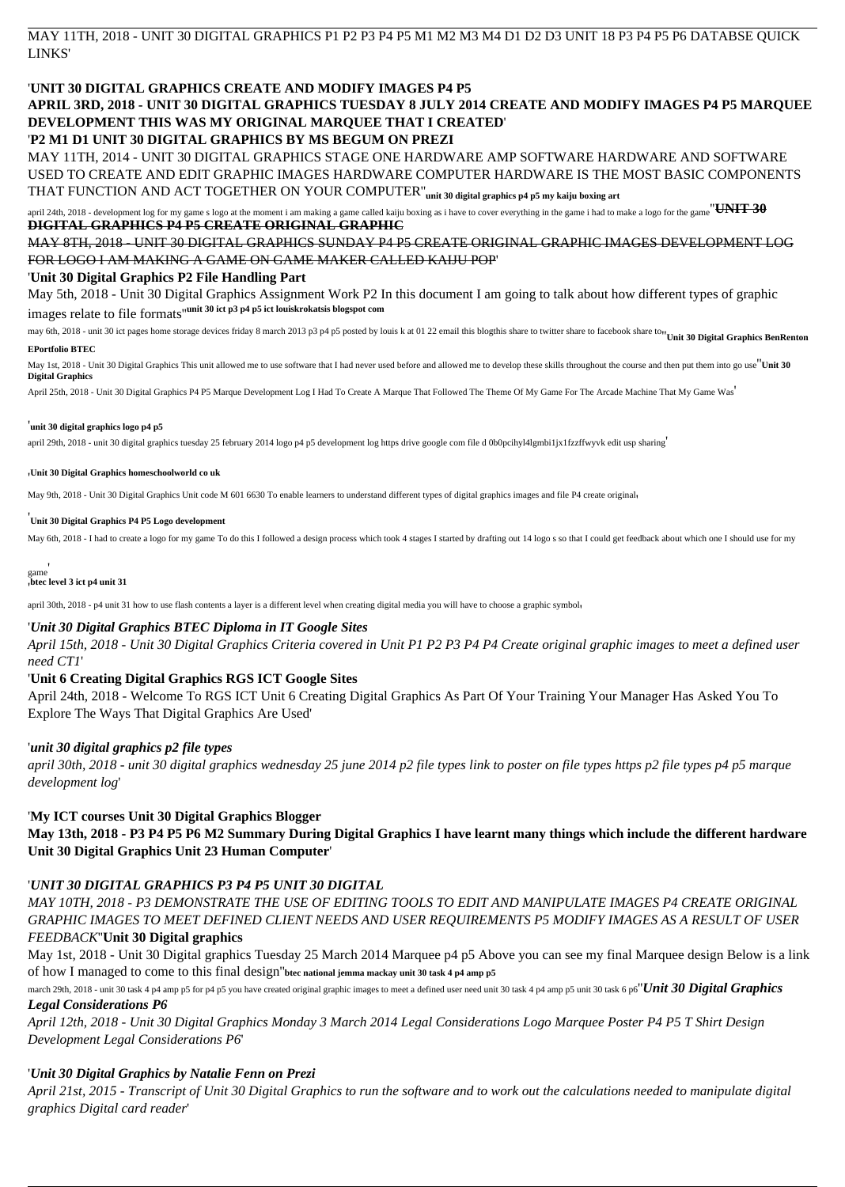MAY 11TH, 2018 - UNIT 30 DIGITAL GRAPHICS P1 P2 P3 P4 P5 M1 M2 M3 M4 D1 D2 D3 UNIT 18 P3 P4 P5 P6 DATABSE QUICK LINKS'

## '**UNIT 30 DIGITAL GRAPHICS CREATE AND MODIFY IMAGES P4 P5**

# **APRIL 3RD, 2018 - UNIT 30 DIGITAL GRAPHICS TUESDAY 8 JULY 2014 CREATE AND MODIFY IMAGES P4 P5 MARQUEE DEVELOPMENT THIS WAS MY ORIGINAL MARQUEE THAT I CREATED**'

### '**P2 M1 D1 UNIT 30 DIGITAL GRAPHICS BY MS BEGUM ON PREZI**

april 24th, 2018 - development log for my game s logo at the moment i am making a game called kaiju boxing as i have to cover everything in the game i had to make a logo for the game<sup>"UNIT</sup> 30 **DIGITAL GRAPHICS P4 P5 CREATE ORIGINAL GRAPHIC**

MAY 11TH, 2014 - UNIT 30 DIGITAL GRAPHICS STAGE ONE HARDWARE AMP SOFTWARE HARDWARE AND SOFTWARE USED TO CREATE AND EDIT GRAPHIC IMAGES HARDWARE COMPUTER HARDWARE IS THE MOST BASIC COMPONENTS THAT FUNCTION AND ACT TOGETHER ON YOUR COMPUTER''**unit 30 digital graphics p4 p5 my kaiju boxing art**

MAY 8TH, 2018 - UNIT 30 DIGITAL GRAPHICS SUNDAY P4 P5 CREATE ORIGINAL GRAPHIC IMAGES DEVELOPMENT LOG FOR LOGO I AM MAKING A GAME ON GAME MAKER CALLED KAIJU POP'

#### '**Unit 30 Digital Graphics P2 File Handling Part**

May 5th, 2018 - Unit 30 Digital Graphics Assignment Work P2 In this document I am going to talk about how different types of graphic images relate to file formats''**unit 30 ict p3 p4 p5 ict louiskrokatsis blogspot com**

may 6th, 2018 - unit 30 ict pages home storage devices friday 8 march 2013 p3 p4 p5 posted by louis k at 01 22 email this blogthis share to twitter share to facebook share to<sup>11</sup> Unit 30 Digital Graphics BenRenton

#### **EPortfolio BTEC**

May 1st, 2018 - Unit 30 Digital Graphics This unit allowed me to use software that I had never used before and allowed me to develop these skills throughout the course and then put them into go use''**Unit 30 Digital Graphics**

April 25th, 2018 - Unit 30 Digital Graphics P4 P5 Marque Development Log I Had To Create A Marque That Followed The Theme Of My Game For The Arcade Machine That My Game Was'

#### '**unit 30 digital graphics logo p4 p5**

april 29th, 2018 - unit 30 digital graphics tuesday 25 february 2014 logo p4 p5 development log https drive google com file d 0b0pcihyl4lgmbi1jx1fzzffwyvk edit usp sharing'

#### '**Unit 30 Digital Graphics homeschoolworld co uk**

May 9th, 2018 - Unit 30 Digital Graphics Unit code M 601 6630 To enable learners to understand different types of digital graphics images and file P4 create original,

#### '**Unit 30 Digital Graphics P4 P5 Logo development**

May 6th, 2018 - I had to create a logo for my game To do this I followed a design process which took 4 stages I started by drafting out 14 logo s so that I could get feedback about which one I should use for my

game' '**btec level 3 ict p4 unit 31**

april 30th, 2018 - p4 unit 31 how to use flash contents a layer is a different level when creating digital media you will have to choose a graphic symbol,

### '*Unit 30 Digital Graphics BTEC Diploma in IT Google Sites*

*April 15th, 2018 - Unit 30 Digital Graphics Criteria covered in Unit P1 P2 P3 P4 P4 Create original graphic images to meet a defined user need CT1*'

### '**Unit 6 Creating Digital Graphics RGS ICT Google Sites**

April 24th, 2018 - Welcome To RGS ICT Unit 6 Creating Digital Graphics As Part Of Your Training Your Manager Has Asked You To Explore The Ways That Digital Graphics Are Used'

### '*unit 30 digital graphics p2 file types*

*april 30th, 2018 - unit 30 digital graphics wednesday 25 june 2014 p2 file types link to poster on file types https p2 file types p4 p5 marque development log*'

### '**My ICT courses Unit 30 Digital Graphics Blogger**

**May 13th, 2018 - P3 P4 P5 P6 M2 Summary During Digital Graphics I have learnt many things which include the different hardware Unit 30 Digital Graphics Unit 23 Human Computer**'

#### '*UNIT 30 DIGITAL GRAPHICS P3 P4 P5 UNIT 30 DIGITAL*

*MAY 10TH, 2018 - P3 DEMONSTRATE THE USE OF EDITING TOOLS TO EDIT AND MANIPULATE IMAGES P4 CREATE ORIGINAL GRAPHIC IMAGES TO MEET DEFINED CLIENT NEEDS AND USER REQUIREMENTS P5 MODIFY IMAGES AS A RESULT OF USER FEEDBACK*''**Unit 30 Digital graphics**

May 1st, 2018 - Unit 30 Digital graphics Tuesday 25 March 2014 Marquee p4 p5 Above you can see my final Marquee design Below is a link of how I managed to come to this final design''**btec national jemma mackay unit 30 task 4 p4 amp p5**

march 29th, 2018 - unit 30 task 4 p4 amp p5 for p4 p5 you have created original graphic images to meet a defined user need unit 30 task 4 p4 amp p5 unit 30 task 6 p6"*Unit 30 Digital Graphics* 

### *Legal Considerations P6*

*April 12th, 2018 - Unit 30 Digital Graphics Monday 3 March 2014 Legal Considerations Logo Marquee Poster P4 P5 T Shirt Design Development Legal Considerations P6*'

### '*Unit 30 Digital Graphics by Natalie Fenn on Prezi*

*April 21st, 2015 - Transcript of Unit 30 Digital Graphics to run the software and to work out the calculations needed to manipulate digital graphics Digital card reader*'